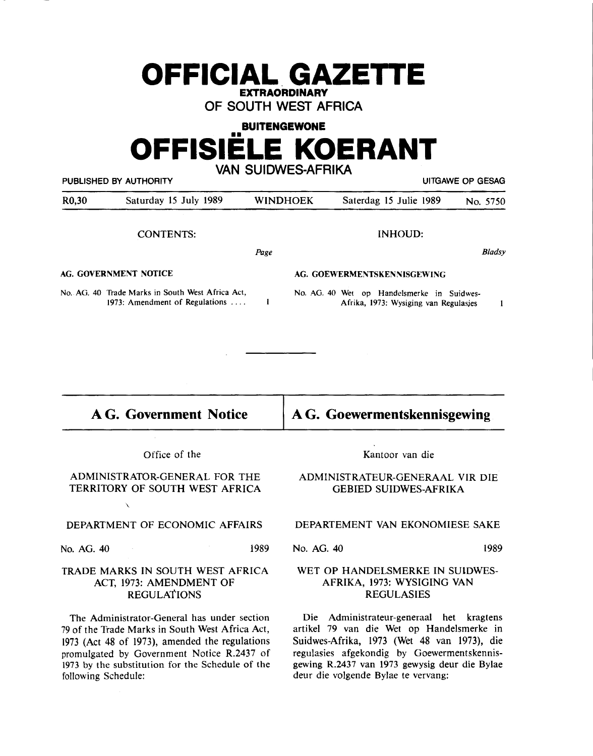## **OFFICIAL. GAZETTE EXTRAORDINARY**

**OF SOUTH WEST AFRICA** 

### **BUITENGEWONE**

# **OFFISIELE KOERANT VAN SUIDWES-AFRIKA**

**PUBLISHED BY AUTHORITY EXECUTE ASSAULTED BY AUTHORITY EXECUTE ASSAULTED AT A PUBLISHED BY AUTHORITY** R0,30 Saturday 15 July 1989 WINDHOEK Saterdag 15 Julie 1989 No. 5750 CONTENTS: INHOUD: *Bladsy*  **Page AG. GOVERNMENT NOTICE AG. GOEWERMENTSKENNISGEWING**  No. AG. 40 Trade Marks in South West Africa Act, No. AG. 40 Wet op Handelsmerke in Suidwes- $\blacksquare$ 1973: Amendment of Regulations .... Afrika, 1973: Wysiging van Regulasjes  $\mathbf{1}$ 

**AG. Government Notice AG. Goewermentskennisgewing** 

Office of the

ADMINISTRA10R-GENERAL FOR THE TERRITORY OF SOUTH WEST AFRICA

#### DEPARTMENT OF ECONOMIC AFFAIRS

 $\lambda$ 

No. AG. 40 1989

#### TRADE **MARKS IN** SOUTH WEST AFRICA ACT, 1973: AMENDMENT OF REGULATIONS

The Administrator-General has under section 79 of the Trade Marks in South West Africa Act, 1973 (Act 48 of 1973), amended the regulations promulgated by Government Notice R.2437 of 1973 by the substitution for the Schedule of the following Schedule:

Kantoor van die

#### **ADMINISTRATEUR-GENERAAL VIR DIE**  GEBIED SUIDWES-AFRIKA

#### DEPARTEMENT VAN EKONOMIESE SAKE

No. AG. 40 1989

#### WET OP HANDELSMERKE IN SUlDWES-AFRIKA, 1973: WYSIGING VAN REGULASIES

Die Administrateur-generaal het kragtens artikel 79 van die Wet op Handelsmerke in Suidwes-Afrika, 1973 (Wet 48 van 1973), die regulasies afgekondig by Goewermentskennisgewing R.2437 van 1973 gewysig deur die Bylae deur die volgende Bylae te vervang: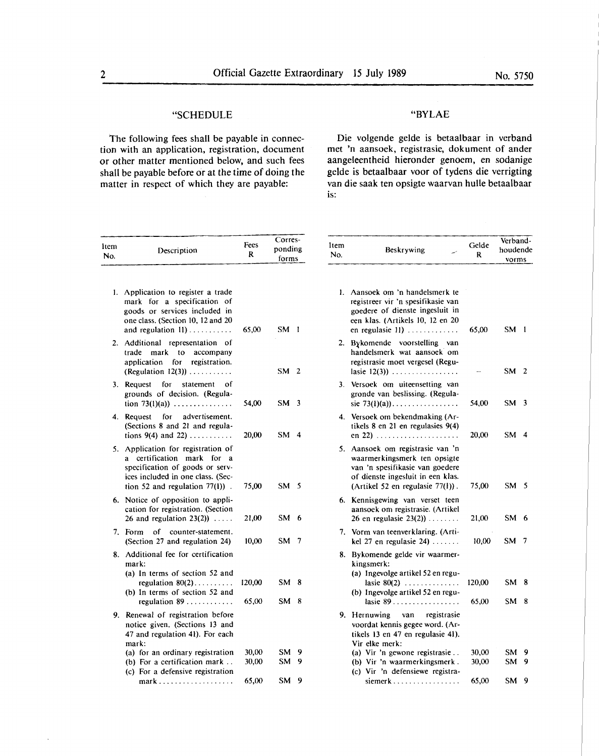#### "SCHEDULE

The following fees shall be payable in connection with an application, registration, document or other matter mentioned below, and such fees shall be payable before or at the time of doing the matter in respect of which they are payable:

#### "BYLAE

Die volgende gelde is betaalbaar in verband met 'n aansoek, registrasie, dokument of ander aangeleentheid hieronder genoem, en sodanige gelde is betaalbaar voor of tydens die verrigting van die saak ten opsigte waarvan hulle betaalbaar is:

| ltem<br>No. | Description                                                                                                                                                                         | Fees<br>R | Corres-<br>ponding<br>forms |  |
|-------------|-------------------------------------------------------------------------------------------------------------------------------------------------------------------------------------|-----------|-----------------------------|--|
|             | 1. Application to register a trade<br>mark for a specification<br>οf<br>goods or services included in<br>one class. (Section 10, 12 and 20<br>and regulation $11)$                  | 65,00     | SM.<br>$\mathbf{I}$         |  |
|             | 2. Additional representation of<br>trade<br>mark to accompany<br>application for registration.<br>(Regulation $12(3)$ )                                                             |           | SM <sub>2</sub>             |  |
| 3.          | Request<br>for statement<br>οf<br>grounds of decision. (Regula-<br>tion 73(1)(a))                                                                                                   | 54,00     | SM <sub>3</sub>             |  |
| 4.          | for<br>advertisement.<br>Request<br>(Sections 8 and 21 and regula-<br>tions 9(4) and 22)                                                                                            | 20,00     | SM <sub>4</sub>             |  |
| 5.          | Application for registration of<br>certification mark<br>for<br>a.<br>a<br>specification of goods or serv-<br>ices included in one class. (Sec-<br>tion 52 and regulation $77(1)$ . | 75,00     | SM -<br>5                   |  |
| 6.          | Notice of opposition to appli-<br>cation for registration. (Section<br>26 and regulation $23(2)$ )                                                                                  | 21,00     | SM -<br>6                   |  |
| 7.          | of<br>counter-statement.<br>Form<br>(Section 27 and regulation 24)                                                                                                                  | 10,00     | <b>SM</b><br>7              |  |
| 8.          | Additional fee for certification<br>mark:<br>(a) In terms of section 52 and<br>regulation $80(2)$                                                                                   | 120,00    | SM.<br>8                    |  |
|             | (b) In terms of section 52 and<br>regulation 89                                                                                                                                     | 65,00     | <b>SM</b><br>8              |  |
| 9.          | Renewal of registration before<br>notice given. (Sections 13 and<br>47 and regulation 41). For each<br>mark:                                                                        |           |                             |  |
|             | (a) for an ordinary registration                                                                                                                                                    | 30.00     | SM.<br>9                    |  |
|             | (b) For a certification mark $\ldots$<br>(c) For a defensive registration                                                                                                           | 30,00     | SM.<br>9                    |  |
|             | $mark \dots \dots \dots \dots \dots \dots \dots$                                                                                                                                    | 65,00     | <b>SM</b><br>9              |  |

| ltem<br>No. | Beskrywing                                                                                                                                                                | Gelde<br>R      | Verband-<br>houdende<br>vorms |        |
|-------------|---------------------------------------------------------------------------------------------------------------------------------------------------------------------------|-----------------|-------------------------------|--------|
| 1.          | Aansoek om 'n handelsmerk te<br>registreer vir 'n spesifikasie van<br>goedere of dienste ingesluit in<br>een klas. (Artikels 10, 12 en 20<br>en regulasie 11)             | 65,00           | SM <sub>1</sub>               |        |
| 2.          | Bykomende voorstelling van<br>handelsmerk wat aansoek om<br>registrasie moet vergesel (Regu-                                                                              |                 | SM <sub>2</sub>               |        |
| 3.          | Versoek om uiteensetting van<br>gronde van beslissing. (Regula-<br>sie 73(1)(a))                                                                                          | 54,00           | SM <sub>3</sub>               |        |
| 4.          | Versoek om bekendmaking (Ar-<br>tikels 8 en 21 en regulasies 9(4)<br>en 22)                                                                                               | 20,00           | $SM$ 4                        |        |
| 5.          | Aansoek om registrasie van 'n<br>waarmerkingsmerk ten opsigte<br>van 'n spesifikasie van goedere<br>of dienste ingesluit in een klas.<br>(Artikel 52 en regulasie 77(1)). | 75,00           | SM 5                          |        |
| 6.          | Kennisgewing van verset teen<br>aansoek om registrasie. (Artikel<br>26 en regulasie $23(2)$ )                                                                             | 21,00           | SM 6                          |        |
| 7.          | Vorm van teenverklaring. (Arti-<br>kel 27 en regulasie $24)$                                                                                                              | 10,00           | SM.                           | 7      |
| 8.          | Bykomende gelde vir waarmer-<br>kingsmerk:<br>(a) Ingevolge artikel 52 en regu-                                                                                           |                 |                               |        |
|             | lasie $80(2)$<br>(b) Ingevolge artikel 52 en regu-<br>lasie $89$                                                                                                          | 120,00<br>65,00 | SM -<br>SM.                   | 8<br>8 |
| 9.          | Hernuwing van registrasie<br>voordat kennis gegee word. (Ar-<br>tikels 13 en 47 en regulasie 41).<br>Vir elke merk:                                                       |                 |                               |        |
|             | (a) Vir 'n gewone registrasie<br>(b) Vir 'n waarmerkingsmerk.<br>(c) Vir 'n defensiewe registra-                                                                          | 30,00<br>30,00  | <b>SM</b><br>SM               | 9<br>9 |
|             | siemerk                                                                                                                                                                   | 65,00           | <b>SM</b>                     | 9      |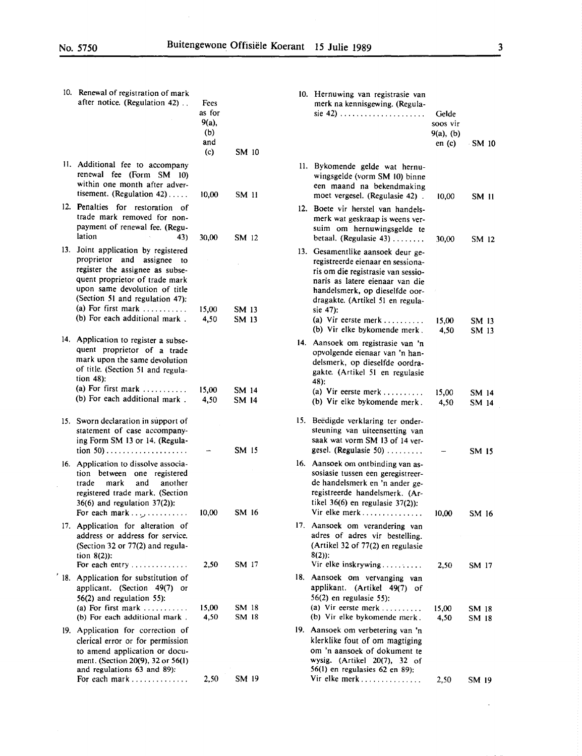$\hat{\mathcal{A}}$ 

 $\mathcal{L}^{\mathcal{L}}$ 

| 10. Renewal of registration of mark<br>after notice. (Regulation 42)                                                                                                                                                                               | Fees<br>as for<br>9(a),<br>(b)<br>and<br>(c) | SM 10          | 10. Hernuwing van registrasie van<br>merk na kennisgewing. (Regula-<br>sie 42) $\ldots$                                                                                                                               | Gelde<br>soos vir<br>$9(a)$ , (b)<br>en(c) | SM 10          |
|----------------------------------------------------------------------------------------------------------------------------------------------------------------------------------------------------------------------------------------------------|----------------------------------------------|----------------|-----------------------------------------------------------------------------------------------------------------------------------------------------------------------------------------------------------------------|--------------------------------------------|----------------|
| 11. Additional fee to accompany<br>renewal fee (Form SM 10)<br>within one month after adver-<br>tisement. (Regulation 42)                                                                                                                          | 10,00                                        | SM 11          | 11. Bykomende gelde wat hernu-<br>wingsgelde (vorm SM 10) binne<br>een maand na bekendmaking<br>moet vergesel. (Regulasie 42).                                                                                        | 10,00                                      | SM 11          |
| 12. Penalties for restoration of<br>trade mark removed for non-<br>payment of renewal fee. (Regu-<br>lation<br>43)                                                                                                                                 | 30,00                                        | SM 12          | 12. Boete vir herstel van handels-<br>merk wat geskraap is weens ver-<br>suim om hernuwingsgelde te<br>betaal. (Regulasie 43)                                                                                         | 30,00                                      | SM 12          |
| 13. Joint application by registered<br>proprietor and assignee to<br>register the assignee as subse-<br>quent proprietor of trade mark<br>upon same devolution of title<br>(Section 51 and regulation 47):<br>(a) For first mark $\dots\dots\dots$ | 15,00                                        | SM 13          | 13. Gesamentlike aansoek deur ge-<br>registreerde eienaar en sessiona-<br>ris om die registrasie van sessio-<br>naris as latere eienaar van die<br>handelsmerk, op dieselfde oor-<br>dragakte. (Artikel 51 en regula- |                                            |                |
| (b) For each additional mark.                                                                                                                                                                                                                      | 4,50                                         | SM 13          | sie 47):<br>(a) Vir eerste merk<br>(b) Vir elke bykomende merk.                                                                                                                                                       | 15.00<br>4,50                              | SM 13<br>SM 13 |
| 14. Application to register a subse-<br>quent proprietor of a trade<br>mark upon the same devolution<br>of title. (Section 51 and regula-<br>tion $48$ ):                                                                                          |                                              |                | 14. Aansoek om registrasie van 'n<br>opvolgende eienaar van 'n han-<br>delsmerk, op dieselfde oordra-<br>gakte. (Artikel 51 en regulasie<br>48):                                                                      |                                            |                |
| (a) For first mark $\dots\dots\dots$<br>(b) For each additional mark.                                                                                                                                                                              | 15,00<br>4,50                                | SM 14<br>SM 14 | (a) Vir eerste merk<br>(b) Vir elke bykomende merk.                                                                                                                                                                   | 15,00<br>4,50                              | SM 14<br>SM 14 |
| 15. Sworn declaration in support of<br>statement of case accompany-<br>ing Form SM 13 or 14. (Regula-                                                                                                                                              |                                              | SM 15          | 15. Beëdigde verklaring ter onder-<br>steuning van uiteensetting van<br>saak wat vorm SM 13 of 14 ver-<br>gesel. (Regulasie 50)                                                                                       |                                            | SM 15          |
| 16. Application to dissolve associa-<br>tion between one registered<br>trade<br>mark<br>and<br>another<br>registered trade mark. (Section<br>$36(6)$ and regulation $37(2)$ :                                                                      |                                              |                | 16. Aansoek om ontbinding van as-<br>sosiasie tussen een geregistreer-<br>de handelsmerk en 'n ander ge-<br>registreerde handelsmerk. (Ar-<br>tikel $36(6)$ en regulasie $37(2)$ ):                                   |                                            |                |
| For each mark $, \ldots$<br>17. Application for alteration of<br>address or address for service.<br>(Section 32 or 77(2) and regula-                                                                                                               | 10,00                                        | SM 16          | Vir elke merk<br>17. Aansoek om verandering van<br>adres of adres vir bestelling.<br>(Artikel 32 of 77(2) en regulasie                                                                                                | 10,00                                      | SM 16          |
| tion $8(2)$ :<br>For each entry                                                                                                                                                                                                                    | 2,50                                         | SM 17          | $8(2)$ :<br>Vir elke inskrywing                                                                                                                                                                                       | 2,50                                       | SM 17          |
| 18. Application for substitution of<br>applicant. (Section 49(7) or<br>$56(2)$ and regulation $55$ ):                                                                                                                                              |                                              |                | 18. Aansoek om vervanging van<br>applikant. (Artikel 49(7) of<br>$56(2)$ en regulasie 55):                                                                                                                            |                                            |                |
| (a) For first mark<br>(b) For each additional mark.                                                                                                                                                                                                | 15,00<br>4,50                                | SM 18<br>SM 18 | (a) Vir eerste merk<br>(b) Vir elke bykomende merk.                                                                                                                                                                   | 15,00<br>4,50                              | SM 18<br>SM 18 |
| 19. Application for correction of<br>clerical error or for permission<br>to amend application or docu-<br>ment. (Section 20(9), 32 or 56(1)<br>and regulations 63 and 89):                                                                         |                                              |                | 19. Aansoek om verbetering van 'n<br>klerklike fout of om magtiging<br>om 'n aansoek of dokument te<br>wysig. (Artikel 20(7), 32 of<br>56(1) en regulasies 62 en 89):                                                 |                                            |                |
| For each mark                                                                                                                                                                                                                                      | 2,50                                         | SM 19          | Vir elke merk                                                                                                                                                                                                         | 2,50                                       | SM 19          |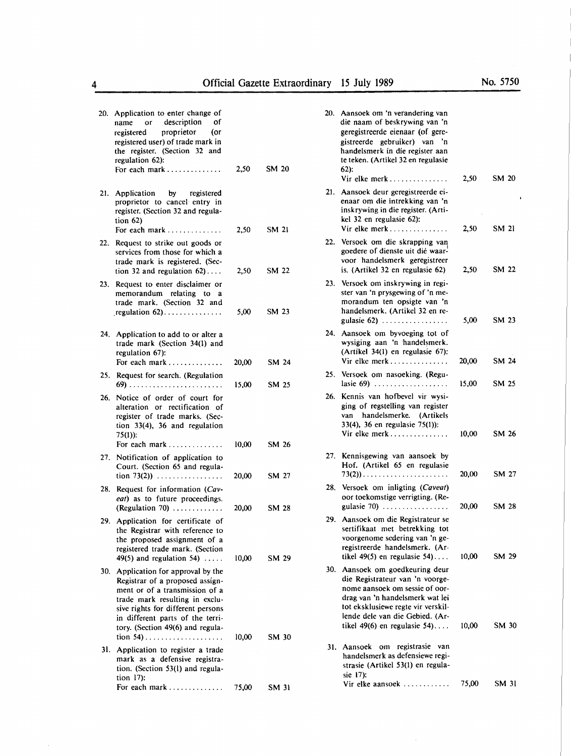|     | 20. Application to enter change of<br>description<br>Οf<br>name<br>or<br>proprietor<br>(or<br>registered<br>registered user) of trade mark in<br>the register. (Section 32 and<br>regulation 62):<br>For each mark                                  | 2,50           | <b>SM 20</b>   |  |
|-----|-----------------------------------------------------------------------------------------------------------------------------------------------------------------------------------------------------------------------------------------------------|----------------|----------------|--|
| 21. | Application by registered<br>proprietor to cancel entry in<br>register. (Section 32 and regula-<br>tion $62$ )<br>For each mark                                                                                                                     | 2,50           | <b>SM 21</b>   |  |
| 22. | Request to strike out goods or<br>services from those for which a<br>trade mark is registered. (Sec-<br>tion 32 and regulation $62$ )                                                                                                               | 2,50           | SM 22          |  |
| 23. | Request to enter disclaimer or<br>memorandum relating to a<br>trade mark. (Section 32 and<br>regulation $62)$                                                                                                                                       | 5,00           | <b>SM 23</b>   |  |
| 24. | Application to add to or alter a<br>trade mark (Section 34(1) and<br>regulation 67):<br>For each mark                                                                                                                                               | 20,00          | SM 24          |  |
| 25. | Request for search. (Regulation                                                                                                                                                                                                                     | 15,00          | SM 25          |  |
| 26. | Notice of order of court for<br>alteration or rectification of<br>register of trade marks. (Sec-<br>tion $33(4)$ , 36 and regulation<br>$75(1)$ :                                                                                                   |                |                |  |
| 27. | For each mark<br>Notification of application to<br>Court. (Section 65 and regula-<br>$\frac{1}{2}$ (100 73(2))                                                                                                                                      | 10,00<br>20,00 | SM 26<br>SM 27 |  |
|     | 28. Request for information (Cav-<br>eat) as to future proceedings.<br>(Regulation 70) $\ldots \ldots \ldots$                                                                                                                                       | 20,00          | SM 28          |  |
| 29. | Application for certificate of<br>the Registrar with reference to<br>the proposed assignment of a<br>registered trade mark. (Section<br>49(5) and regulation 54) $\ldots$ .                                                                         | 10.00          | SM 29          |  |
| 30. | Application for approval by the<br>Registrar of a proposed assign-<br>ment or of a transmission of a<br>trade mark resulting in exclu-<br>sive rights for different persons<br>in different parts of the terri-<br>tory. (Section 49(6) and regula- |                |                |  |
| 31. | Application to register a trade<br>mark as a defensive registra-<br>tion. (Section 53(l) and regula-<br>tion $17$ :                                                                                                                                 | 10,00          | SM 30          |  |
|     | For each mark                                                                                                                                                                                                                                       | 75,00          | SM 31          |  |

|     | 20. Aansoek om 'n verandering van<br>die naam of beskrywing van 'n<br>geregistreerde eienaar (of gere-<br>gistreerde gebruiker) van 'n<br>handelsmerk in die register aan<br>te teken. (Artikel 32 en regulasie<br>$62$ :<br>Vir elke merk       | 2,50  | <b>SM 20</b> |
|-----|--------------------------------------------------------------------------------------------------------------------------------------------------------------------------------------------------------------------------------------------------|-------|--------------|
|     | 21. Aansoek deur geregistreerde ei-<br>enaar om die intrekking van 'n<br>inskrywing in die register. (Arti-<br>kel 32 en regulasie 62):<br>Vir elke merk                                                                                         | 2,50  | SM 21        |
|     | 22. Versoek om die skrapping van<br>goedere of dienste uit dié waar-<br>voor handelsmerk geregistreer<br>is. (Artikel 32 en regulasie 62)                                                                                                        | 2,50  | SM 22        |
|     | 23. Versoek om inskrywing in regi-<br>ster van 'n prysgewing of 'n me-<br>morandum ten opsigte van 'n<br>handelsmerk. (Artikel 32 en re-                                                                                                         | 5,00  | SM 23        |
|     | 24. Aansoek om byvoeging tot of<br>wysiging aan 'n handelsmerk.<br>(Artikel 34(1) en regulasie 67):<br>Vir elke merk                                                                                                                             | 20,00 | <b>SM 24</b> |
| 25. | Versoek om nasoeking. (Regu-<br>lasie $69$ )                                                                                                                                                                                                     | 15,00 | SM 25        |
|     | 26. Kennis van hofbevel vir wysi-<br>ging of regstelling van register<br>van handelsmerke. (Artikels<br>33(4), 36 en regulasie 75(1)):<br>Vir elke merk                                                                                          | 10,00 | SM 26        |
| 27. | Kennisgewing van aansoek by<br>Hof. (Artikel 65 en regulasie<br>$73(2)$ )                                                                                                                                                                        | 20,00 | SM 27        |
| 28. | Versoek om inligting (Caveat)<br>oor toekomstige verrigting. (Re-<br>gulasie 70) $\ldots \ldots \ldots \ldots \ldots$                                                                                                                            | 20,00 | SM 28        |
| 29. | Aansoek om die Registrateur se<br>sertifikaat met betrekking tot<br>voorgenome sedering van 'n ge-<br>registreerde handelsmerk. (Ar-<br>tikel 49(5) en regulasie 54)                                                                             | 10,00 | SM 29        |
| 30. | Aansoek om goedkeuring deur<br>die Registrateur van 'n voorge-<br>nome aansoek om sessie of oor-<br>drag van 'n handelsmerk wat lei<br>tot eksklusiewe regte vir verskil-<br>lende dele van die Gebied. (Ar-<br>tikel $49(6)$ en regulasie $54)$ | 10,00 | SM 30        |
| 31. | registrasie<br>Aansoek<br>om<br>van<br>handelsmerk as defensiewe regi-<br>strasie (Artikel 53(1) en regula-<br>sie 17):                                                                                                                          |       |              |
|     | Vir elke aansoek                                                                                                                                                                                                                                 | 75,00 | SM 31        |

 $\bar{\gamma}$ 

 $\sim$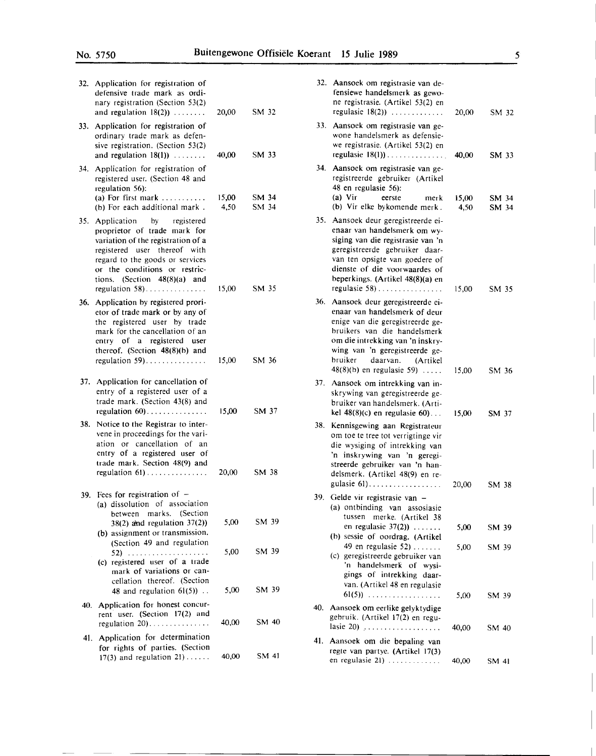| 32. | Application for registration of<br>defensive trade mark as ordi-<br>nary registration (Section 53(2)<br>and regulation $18(2)$ )                                                                                                    | 20,00         | SM 32          |  |
|-----|-------------------------------------------------------------------------------------------------------------------------------------------------------------------------------------------------------------------------------------|---------------|----------------|--|
| 33. | Application for registration of<br>ordinary trade mark as defen-<br>sive registration. (Section 53(2)<br>and regulation $18(1)$ )                                                                                                   | 40,00         | SM 33          |  |
| 34. | Application for registration of<br>registered user. (Section 48 and<br>regulation 56):<br>(a) For first mark<br>(b) For each additional mark.                                                                                       | 15,00<br>4,50 | SM 34<br>SM 34 |  |
| 35. | Application by registered<br>proprietor of trade mark for<br>variation of the registration of a<br>registered user thereof with<br>regard to the goods or services<br>or the conditions or restric-<br>tions. (Section 48(8)(a) and |               |                |  |
| 36. | regulation 58)<br>Application by registered prori-<br>etor of trade mark or by any of<br>the registered user by trade<br>mark for the cancellation of an<br>entry of a registered user<br>thereof. (Section 48(8)(b) and            | 15,00         | SM 35          |  |
|     | regulation $59$ )                                                                                                                                                                                                                   | 15,00         | SM 36          |  |
|     | 37. Application for cancellation of<br>entry of a registered user of a<br>trade mark. (Section 43(8) and<br>regulation $60$                                                                                                         | 15,00         | SM 37          |  |
|     | 38. Notice to the Registrar to inter-<br>vene in proceedings for the vari-<br>ation or cancellation of an<br>entry of a registered user of<br>trade mark. Section 48(9) and<br>regulation $61)$                                     | 20,00         | SM 38          |  |
|     |                                                                                                                                                                                                                                     |               |                |  |
|     | 39. Fees for registration of $-$<br>(a) dissolution of association<br>between marks. (Section<br>$38(2)$ and regulation $37(2)$ )<br>(b) assignment or transmission.<br>(Section 49 and regulation                                  | 5,00          | SM 39          |  |
|     | (c) registered user of a trade<br>mark of variations or can-<br>cellation thereof. (Section<br>48 and regulation $61(5)$ .                                                                                                          | 5,00<br>5,00  | SM 39<br>SM 39 |  |
| 40. | Application for honest concur-<br>rent user. (Section 17(2) and<br>regulation 20)                                                                                                                                                   | 40,00         | SM 40          |  |
|     | 41. Application for determination<br>for rights of parties. (Section                                                                                                                                                                |               |                |  |
|     | 17(3) and regulation $21$ )                                                                                                                                                                                                         | 40,00         | SM 41          |  |

|     | 32. Aansoek om registrasie van de-<br>fensiewe handelsmerk as gewo-<br>ne registrasie. (Artikel 53(2) en<br>regulasie $18(2)$ )                                                                                                                                                               | 20,00          | SM 32          |
|-----|-----------------------------------------------------------------------------------------------------------------------------------------------------------------------------------------------------------------------------------------------------------------------------------------------|----------------|----------------|
| 33. | Aansoek om registrasie van ge-<br>wone handelsmerk as defensie-<br>we registrasie. (Artikel 53(2) en<br>regulasie $18(1)$ )                                                                                                                                                                   | 40,00          | SM 33          |
| 34. | Aansoek om registrasie van ge-<br>registreerde gebruiker (Artikel<br>48 en regulasie 56):<br>$(a)$ Vir<br>eerste<br>merk<br>(b) Vir elke bykomende merk.                                                                                                                                      | 15,00<br>4,50  | SM 34<br>SM 34 |
| 35. | Aansoek deur geregistreerde ei-<br>enaar van handelsmerk om wy-<br>siging van die registrasie van 'n<br>geregistreerde gebruiker daar-<br>van ten opsigte van goedere of<br>dienste of die voorwaardes of<br>beperkings. (Artikel 48(8)(a) en                                                 |                |                |
| 36. | regulasie 58)<br>Aansoek deur geregistreerde ei-<br>enaar van handelsmerk of deur<br>enige van die geregistreerde ge-<br>bruikers van die handelsmerk<br>om die intrekking van 'n inskry-<br>wing van 'n geregistreerde ge-<br>bruiker<br>daarvan.<br>(Artikel<br>$48(8)(b)$ en regulasie 59) | 15,00<br>15,00 | SM 35<br>SM 36 |
|     | 37. Aansoek om intrekking van in-<br>skrywing van geregistreerde ge-<br>bruiker van handelsmerk. (Arti-<br>kel $48(8)(c)$ en regulasie 60)                                                                                                                                                    | 15,00          | SM 37          |
| 38. | Kennisgewing aan Registrateur<br>om toe te tree tot verrigtinge vir<br>die wysiging of intrekking van<br>'n inskrywing van 'n geregi-<br>streerde gebruiker van 'n han-<br>delsmerk. (Artikel 48(9) en re-                                                                                    |                |                |
| 39. | gulasie $61)$<br>Gelde vir registrasie van -<br>(a) ontbinding van assosiasie<br>tussen<br>merke. (Artikel 38                                                                                                                                                                                 | 20,00          | SM 38          |
|     | en regulasie $37(2)$ )<br>(b) sessie of oordrag. (Artikel                                                                                                                                                                                                                                     | 5,00           | SM 39          |
|     | 49 en regulasie 52 $, \ldots, \ldots$<br>(c) geregistreerde gebruiker van<br>'n handelsmerk of wysi-<br>gings of intrekking daar-<br>van. (Artikel 48 en regulasie<br>$61(5)$                                                                                                                 | 5,00           | SM 39          |
| 40. | Aansoek om eerlike gelyktydige<br>gebruik. (Artikel 17(2) en regu-<br>lasie 20) $\ldots$                                                                                                                                                                                                      | 5,00<br>40,00  | SM 39<br>SM 40 |
| 41. | Aansoek om die bepaling van<br>regte van partye. (Artikel 17(3)                                                                                                                                                                                                                               |                |                |
|     | en regulasie 21)                                                                                                                                                                                                                                                                              | 40,00          | SM 41          |